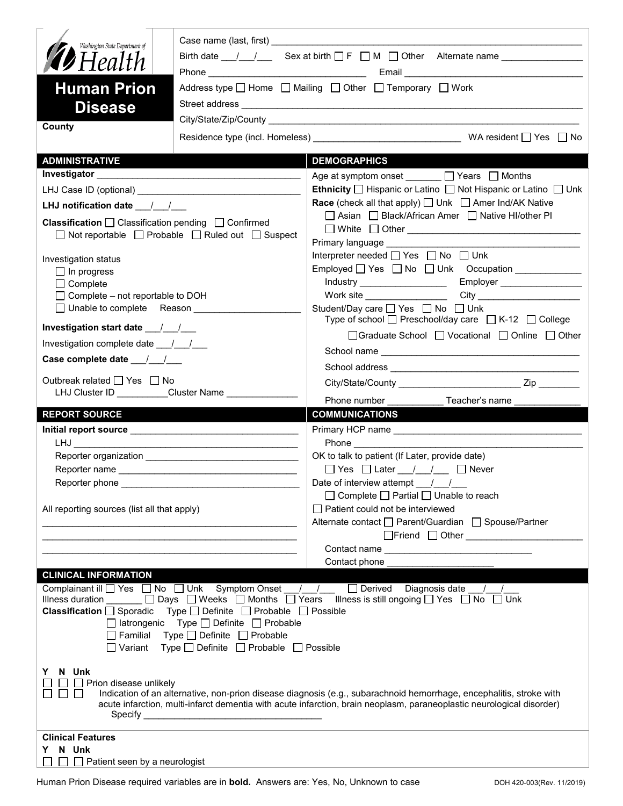| Washington State Department of<br>Birth date $\frac{1}{\sqrt{2}}$ Sex at birth $\Box$ F $\Box$ M $\Box$ Other Alternate name $\Box$<br><b>19</b> Health<br><b>Human Prion</b><br>Address type □ Home □ Mailing □ Other □ Temporary □ Work<br><b>Disease</b>                                                                                                                                                                                                                                                                             |                                                                                                                                                                                                                                              |  |
|-----------------------------------------------------------------------------------------------------------------------------------------------------------------------------------------------------------------------------------------------------------------------------------------------------------------------------------------------------------------------------------------------------------------------------------------------------------------------------------------------------------------------------------------|----------------------------------------------------------------------------------------------------------------------------------------------------------------------------------------------------------------------------------------------|--|
| County                                                                                                                                                                                                                                                                                                                                                                                                                                                                                                                                  |                                                                                                                                                                                                                                              |  |
|                                                                                                                                                                                                                                                                                                                                                                                                                                                                                                                                         |                                                                                                                                                                                                                                              |  |
| <b>ADMINISTRATIVE</b>                                                                                                                                                                                                                                                                                                                                                                                                                                                                                                                   | <b>DEMOGRAPHICS</b>                                                                                                                                                                                                                          |  |
|                                                                                                                                                                                                                                                                                                                                                                                                                                                                                                                                         | Age at symptom onset ______ □ Years □ Months<br><b>Ethnicity</b> $\Box$ Hispanic or Latino $\Box$ Not Hispanic or Latino $\Box$ Unk                                                                                                          |  |
|                                                                                                                                                                                                                                                                                                                                                                                                                                                                                                                                         | <b>Race</b> (check all that apply) $\Box$ Unk $\Box$ Amer Ind/AK Native                                                                                                                                                                      |  |
| LHJ notification date $\frac{1}{\sqrt{2}}$<br><b>Classification</b> $\Box$ Classification pending $\Box$ Confirmed<br>$\Box$ Not reportable $\Box$ Probable $\Box$ Ruled out $\Box$ Suspect                                                                                                                                                                                                                                                                                                                                             | □ Asian □ Black/African Amer □ Native HI/other PI<br>Primary language <b>Primary</b> language                                                                                                                                                |  |
| Investigation status<br>$\Box$ In progress<br>$\Box$ Complete<br>$\Box$ Complete - not reportable to DOH<br>□ Unable to complete Reason                                                                                                                                                                                                                                                                                                                                                                                                 | Interpreter needed □ Yes □ No □ Unk<br>Employed   Yes   No   Unk Occupation   ____________<br>Student/Day care □ Yes □ No □ Unk                                                                                                              |  |
|                                                                                                                                                                                                                                                                                                                                                                                                                                                                                                                                         | Type of school $\Box$ Preschool/day care $\Box$ K-12 $\Box$ College                                                                                                                                                                          |  |
| Investigation start date __/__/__                                                                                                                                                                                                                                                                                                                                                                                                                                                                                                       | □Graduate School □ Vocational □ Online □ Other                                                                                                                                                                                               |  |
| Investigation complete date 11/1                                                                                                                                                                                                                                                                                                                                                                                                                                                                                                        |                                                                                                                                                                                                                                              |  |
| Case complete date __/_/__/                                                                                                                                                                                                                                                                                                                                                                                                                                                                                                             |                                                                                                                                                                                                                                              |  |
| Outbreak related □ Yes □ No<br>LHJ Cluster ID __________Cluster Name ______________                                                                                                                                                                                                                                                                                                                                                                                                                                                     |                                                                                                                                                                                                                                              |  |
|                                                                                                                                                                                                                                                                                                                                                                                                                                                                                                                                         |                                                                                                                                                                                                                                              |  |
|                                                                                                                                                                                                                                                                                                                                                                                                                                                                                                                                         |                                                                                                                                                                                                                                              |  |
| <b>REPORT SOURCE</b>                                                                                                                                                                                                                                                                                                                                                                                                                                                                                                                    | <b>COMMUNICATIONS</b>                                                                                                                                                                                                                        |  |
|                                                                                                                                                                                                                                                                                                                                                                                                                                                                                                                                         |                                                                                                                                                                                                                                              |  |
|                                                                                                                                                                                                                                                                                                                                                                                                                                                                                                                                         | OK to talk to patient (If Later, provide date)                                                                                                                                                                                               |  |
|                                                                                                                                                                                                                                                                                                                                                                                                                                                                                                                                         | □ Yes □ Later __/ __/ __ □ Never                                                                                                                                                                                                             |  |
|                                                                                                                                                                                                                                                                                                                                                                                                                                                                                                                                         | Date of interview attempt $\frac{1}{\sqrt{2}}$                                                                                                                                                                                               |  |
| All reporting sources (list all that apply)<br><u> 1989 - Johann John Stone, mars eta bainar eta mondo eta mondo eta mondo eta mondo eta mondo eta mondo eta mo</u>                                                                                                                                                                                                                                                                                                                                                                     | $\Box$ Complete $\Box$ Partial $\Box$ Unable to reach<br>Patient could not be interviewed<br>Alternate contact<br>□ Parent/Guardian<br>□ Spouse/Partner                                                                                      |  |
|                                                                                                                                                                                                                                                                                                                                                                                                                                                                                                                                         |                                                                                                                                                                                                                                              |  |
|                                                                                                                                                                                                                                                                                                                                                                                                                                                                                                                                         |                                                                                                                                                                                                                                              |  |
| <b>CLINICAL INFORMATION</b><br>Complainant ill $\Box$ Yes $\Box$ No $\Box$ Unk Symptom Onset $\Box$ / $\Box$ Derived Diagnosis date / /<br>Illness duration ______ □ Days □ Weeks □ Months □ Years Illness is still ongoing □ Yes □ No □ Unk<br>Type $\Box$ Definite $\Box$ Probable $\Box$ Possible<br><b>Classification</b> $\Box$ Sporadic<br>$\Box$ latrongenic Type $\Box$ Definite $\Box$ Probable<br>$\Box$ Familial Type $\Box$ Definite $\Box$ Probable<br>$\Box$ Variant Type $\Box$ Definite $\Box$ Probable $\Box$ Possible | Contact phone                                                                                                                                                                                                                                |  |
| N Unk<br>Y.<br>$\Box$ Prion disease unlikely<br>$\mathbf{L}$                                                                                                                                                                                                                                                                                                                                                                                                                                                                            | Indication of an alternative, non-prion disease diagnosis (e.g., subarachnoid hemorrhage, encephalitis, stroke with<br>acute infarction, multi-infarct dementia with acute infarction, brain neoplasm, paraneoplastic neurological disorder) |  |
| <b>Clinical Features</b><br>N Unk<br>Y.                                                                                                                                                                                                                                                                                                                                                                                                                                                                                                 |                                                                                                                                                                                                                                              |  |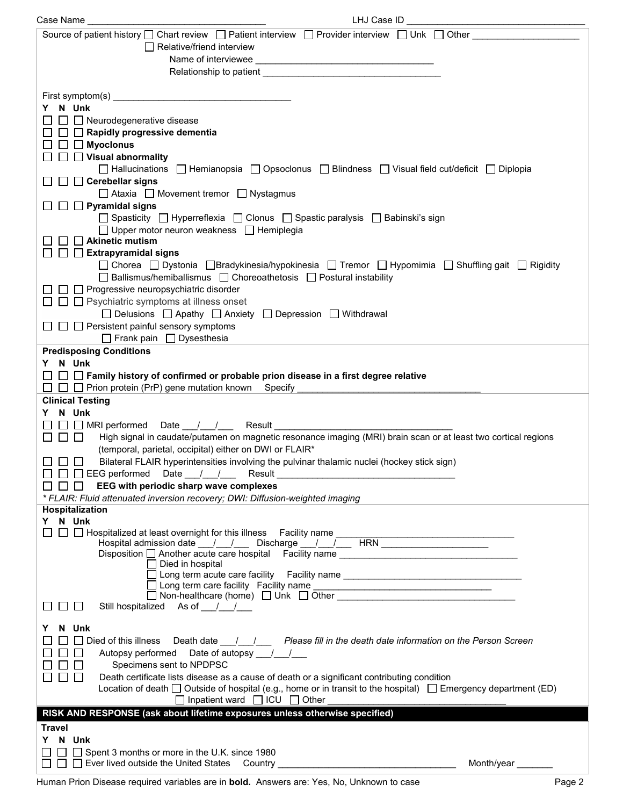| LHJ Case ID _<br>Case Name                                                                                                                                     |  |
|----------------------------------------------------------------------------------------------------------------------------------------------------------------|--|
| Source of patient history $\Box$ Chart review $\Box$ Patient interview $\Box$ Provider interview $\Box$ Unk $\Box$ Other                                       |  |
| $\Box$ Relative/friend interview                                                                                                                               |  |
|                                                                                                                                                                |  |
| Relationship to patient and the state of the state of the state of the state of the state of the state of the                                                  |  |
|                                                                                                                                                                |  |
|                                                                                                                                                                |  |
| Y N Unk                                                                                                                                                        |  |
| □ □ Neurodegenerative disease                                                                                                                                  |  |
| $\Box$ Rapidly progressive dementia                                                                                                                            |  |
| $\Box$ Myoclonus                                                                                                                                               |  |
| $\Box$ Visual abnormality                                                                                                                                      |  |
| □ Hallucinations □ Hemianopsia □ Opsoclonus □ Blindness □ Visual field cut/deficit □ Diplopia                                                                  |  |
| $\Box$ Cerebellar signs                                                                                                                                        |  |
| □ Ataxia □ Movement tremor □ Nystagmus                                                                                                                         |  |
| $\Box$ Pyramidal signs                                                                                                                                         |  |
| □ Spasticity □ Hyperreflexia □ Clonus □ Spastic paralysis □ Babinski's sign                                                                                    |  |
| $\Box$ Upper motor neuron weakness $\Box$ Hemiplegia                                                                                                           |  |
| $\Box$ Akinetic mutism                                                                                                                                         |  |
| $\Box$ Extrapyramidal signs                                                                                                                                    |  |
| □ Chorea □ Dystonia □ Bradykinesia/hypokinesia □ Tremor □ Hypomimia □ Shuffling gait □ Rigidity                                                                |  |
| □ Ballismus/hemiballismus □ Choreoathetosis □ Postural instability                                                                                             |  |
| $\Box$ Progressive neuropsychiatric disorder                                                                                                                   |  |
| $\Box$ $\Box$ Psychiatric symptoms at illness onset                                                                                                            |  |
| □ Delusions □ Apathy □ Anxiety □ Depression □ Withdrawal                                                                                                       |  |
| $\Box$ $\Box$ Persistent painful sensory symptoms                                                                                                              |  |
| Frank pain Dysesthesia                                                                                                                                         |  |
| <b>Predisposing Conditions</b>                                                                                                                                 |  |
| Y N Unk                                                                                                                                                        |  |
| $\Box~\Box~\Box$ Family history of confirmed or probable prion disease in a first degree relative                                                              |  |
|                                                                                                                                                                |  |
| <b>Clinical Testing</b>                                                                                                                                        |  |
| Y N Unk                                                                                                                                                        |  |
| □ □ MRI performed Date __/ __/ __ Result ________                                                                                                              |  |
| $\Box$ $\Box$<br>High signal in caudate/putamen on magnetic resonance imaging (MRI) brain scan or at least two cortical regions                                |  |
| (temporal, parietal, occipital) either on DWI or FLAIR*                                                                                                        |  |
| Bilateral FLAIR hyperintensities involving the pulvinar thalamic nuclei (hockey stick sign)                                                                    |  |
| $\Box$ $\Box$ EEG performed Date __/__/___ Result ________________                                                                                             |  |
| N N N<br>EEG with periodic sharp wave complexes                                                                                                                |  |
| * FLAIR: Fluid attenuated inversion recovery; DWI: Diffusion-weighted imaging                                                                                  |  |
| Hospitalization                                                                                                                                                |  |
| Y N Unk<br>□ □ Hospitalized at least overnight for this illness Facility name _                                                                                |  |
|                                                                                                                                                                |  |
| Disposition another acute care hospital Facility name contain the contract of the contract of the Disposition $\Box$ Another acute care hospital Facility name |  |
| $\Box$ Died in hospital                                                                                                                                        |  |
| □ Long term acute care facility  Facility name _________________________________                                                                               |  |
|                                                                                                                                                                |  |
| Still hospitalized As of / /                                                                                                                                   |  |
|                                                                                                                                                                |  |
| N Unk                                                                                                                                                          |  |
| $\Box$ Died of this illness<br>Death date <u>1. The Please fill in the death date information on the Person Screen</u>                                         |  |
| Date of autopsy __/__/___<br>Autopsy performed                                                                                                                 |  |
| Specimens sent to NPDPSC                                                                                                                                       |  |
| Death certificate lists disease as a cause of death or a significant contributing condition<br>$\mathbf{L}$                                                    |  |
| Location of death $\Box$ Outside of hospital (e.g., home or in transit to the hospital) $\Box$ Emergency department (ED)                                       |  |
| $\Box$ Inpatient ward $\Box$ ICU $\Box$ Other                                                                                                                  |  |
| RISK AND RESPONSE (ask about lifetime exposures unless otherwise specified)                                                                                    |  |
| Travel                                                                                                                                                         |  |
| Y N Unk                                                                                                                                                        |  |
| □ Spent 3 months or more in the U.K. since 1980                                                                                                                |  |
| $\Box$ $\Box$ Ever lived outside the United States Country __________                                                                                          |  |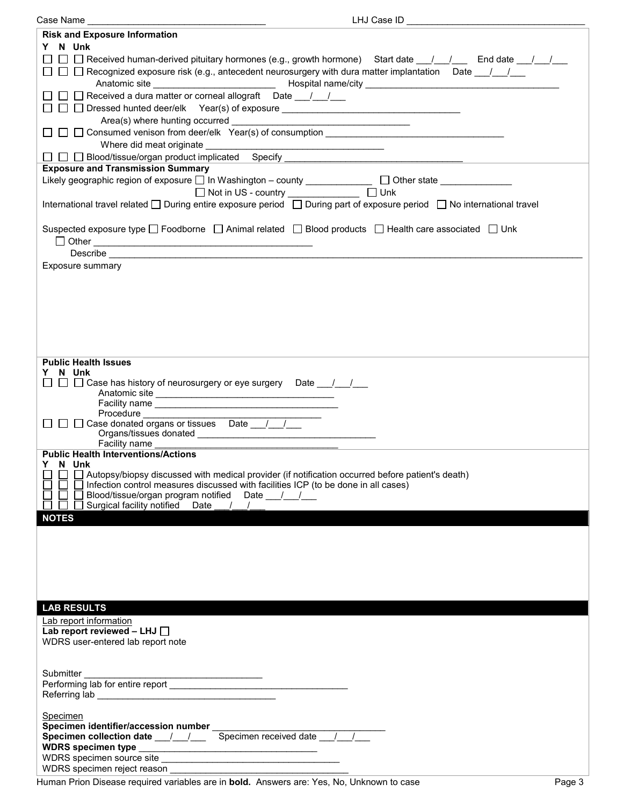| Case Name                                                                                                                                                                                                                            |
|--------------------------------------------------------------------------------------------------------------------------------------------------------------------------------------------------------------------------------------|
| <b>Risk and Exposure Information</b>                                                                                                                                                                                                 |
| Y N Unk                                                                                                                                                                                                                              |
| □ □ Received human-derived pituitary hormones (e.g., growth hormone) Start date __/__/___ End date __/__/__                                                                                                                          |
| □ □ Becognized exposure risk (e.g., antecedent neurosurgery with dura matter implantation Date __/__/__                                                                                                                              |
|                                                                                                                                                                                                                                      |
| □ □ Received a dura matter or corneal allograft  Date __/__/__                                                                                                                                                                       |
|                                                                                                                                                                                                                                      |
|                                                                                                                                                                                                                                      |
|                                                                                                                                                                                                                                      |
|                                                                                                                                                                                                                                      |
|                                                                                                                                                                                                                                      |
| □ □ 回 Blood/tissue/organ product implicated Specify __________________________________<br><b>Exposure and Transmission Summary</b>                                                                                                   |
|                                                                                                                                                                                                                                      |
| Likely geographic region of exposure □ In Washington - county _____________ □ Other state __________                                                                                                                                 |
| □ Not in US - country _______________ □ Unk                                                                                                                                                                                          |
| International travel related □ During entire exposure period □ During part of exposure period □ No international travel                                                                                                              |
|                                                                                                                                                                                                                                      |
| Suspected exposure type $\square$ Foodborne $\square$ Animal related $\square$ Blood products $\square$ Health care associated $\square$ Unk                                                                                         |
|                                                                                                                                                                                                                                      |
| Describe <u>contract and contract and contract and contract and contract and contract and contract and contract of the second second second second second second second second second second second second second second second </u> |
| Exposure summary                                                                                                                                                                                                                     |
|                                                                                                                                                                                                                                      |
|                                                                                                                                                                                                                                      |
|                                                                                                                                                                                                                                      |
|                                                                                                                                                                                                                                      |
|                                                                                                                                                                                                                                      |
|                                                                                                                                                                                                                                      |
|                                                                                                                                                                                                                                      |
| <b>Public Health Issues</b>                                                                                                                                                                                                          |
| N Unk                                                                                                                                                                                                                                |
| □ □ Case has history of neurosurgery or eye surgery Date __/__/__                                                                                                                                                                    |
|                                                                                                                                                                                                                                      |
| Procedure                                                                                                                                                                                                                            |
| □ □ Case donated organs or tissues Date / /                                                                                                                                                                                          |
|                                                                                                                                                                                                                                      |
| Facility name                                                                                                                                                                                                                        |
| <b>Public Health Interventions/Actions</b>                                                                                                                                                                                           |
| Y<br>N Unk                                                                                                                                                                                                                           |
| Autopsy/biopsy discussed with medical provider (if notification occurred before patient's death)                                                                                                                                     |
| Infection control measures discussed with facilities ICP (to be done in all cases)                                                                                                                                                   |
| Blood/tissue/organ program notified Date ///<br>Surgical facility notified<br>Date $/$ $/$                                                                                                                                           |
| <b>NOTES</b>                                                                                                                                                                                                                         |
|                                                                                                                                                                                                                                      |
|                                                                                                                                                                                                                                      |
|                                                                                                                                                                                                                                      |
|                                                                                                                                                                                                                                      |
|                                                                                                                                                                                                                                      |
|                                                                                                                                                                                                                                      |
|                                                                                                                                                                                                                                      |
| <b>LAB RESULTS</b>                                                                                                                                                                                                                   |
| Lab report information                                                                                                                                                                                                               |
| Lab report reviewed - LHJ $\Box$                                                                                                                                                                                                     |
| WDRS user-entered lab report note                                                                                                                                                                                                    |
|                                                                                                                                                                                                                                      |
|                                                                                                                                                                                                                                      |
| Submitter                                                                                                                                                                                                                            |
|                                                                                                                                                                                                                                      |
|                                                                                                                                                                                                                                      |
| Specimen                                                                                                                                                                                                                             |
| Specimen identifier/accession number ___________                                                                                                                                                                                     |
| Specimen collection date __/__/___ Specimen received date __/_ /                                                                                                                                                                     |
|                                                                                                                                                                                                                                      |
|                                                                                                                                                                                                                                      |
| WDRS specimen reject reason                                                                                                                                                                                                          |